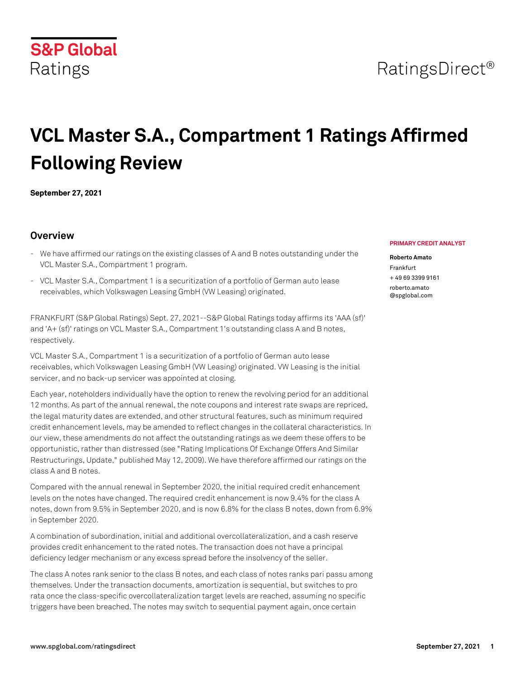## **S&P Global** Ratings

# **VCL Master S.A., Compartment 1 Ratings Affirmed Following Review**

**September 27, 2021**

## **Overview**

- We have affirmed our ratings on the existing classes of A and B notes outstanding under the VCL Master S.A., Compartment 1 program.
- VCL Master S.A., Compartment 1 is a securitization of a portfolio of German auto lease receivables, which Volkswagen Leasing GmbH (VW Leasing) originated.

FRANKFURT (S&P Global Ratings) Sept. 27, 2021--S&P Global Ratings today affirms its 'AAA (sf)' and 'A+ (sf)' ratings on VCL Master S.A., Compartment 1's outstanding class A and B notes, respectively.

VCL Master S.A., Compartment 1 is a securitization of a portfolio of German auto lease receivables, which Volkswagen Leasing GmbH (VW Leasing) originated. VW Leasing is the initial servicer, and no back-up servicer was appointed at closing.

Each year, noteholders individually have the option to renew the revolving period for an additional 12 months. As part of the annual renewal, the note coupons and interest rate swaps are repriced, the legal maturity dates are extended, and other structural features, such as minimum required credit enhancement levels, may be amended to reflect changes in the collateral characteristics. In our view, these amendments do not affect the outstanding ratings as we deem these offers to be opportunistic, rather than distressed (see "Rating Implications Of Exchange Offers And Similar Restructurings, Update," published May 12, 2009). We have therefore affirmed our ratings on the class A and B notes.

Compared with the annual renewal in September 2020, the initial required credit enhancement levels on the notes have changed. The required credit enhancement is now 9.4% for the class A notes, down from 9.5% in September 2020, and is now 6.8% for the class B notes, down from 6.9% in September 2020.

A combination of subordination, initial and additional overcollateralization, and a cash reserve provides credit enhancement to the rated notes. The transaction does not have a principal deficiency ledger mechanism or any excess spread before the insolvency of the seller.

The class A notes rank senior to the class B notes, and each class of notes ranks pari passu among themselves. Under the transaction documents, amortization is sequential, but switches to pro rata once the class-specific overcollateralization target levels are reached, assuming no specific triggers have been breached. The notes may switch to sequential payment again, once certain

#### **PRIMARY CREDIT ANALYST**

#### **Roberto Amato**

Frankfurt + 49 69 3399 9161 [roberto.amato](mailto: roberto.amato@spglobal.com) [@spglobal.com](mailto: roberto.amato@spglobal.com)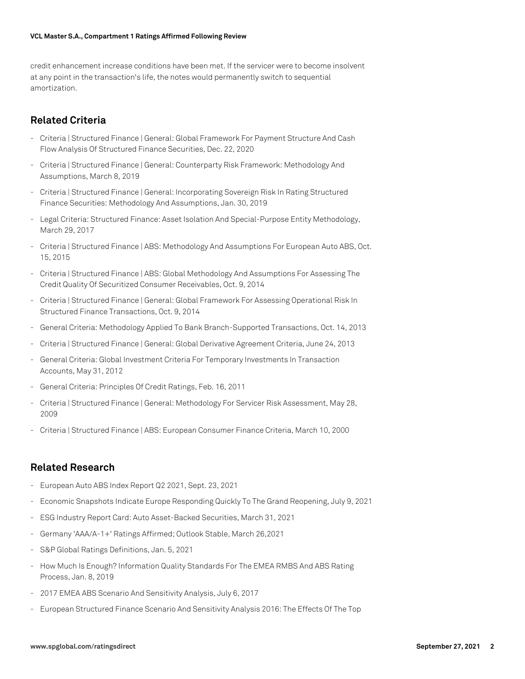credit enhancement increase conditions have been met. If the servicer were to become insolvent at any point in the transaction's life, the notes would permanently switch to sequential amortization.

## **Related Criteria**

- Criteria | Structured Finance | General: Global Framework For Payment Structure And Cash Flow Analysis Of Structured Finance Securities, Dec. 22, 2020
- Criteria | Structured Finance | General: Counterparty Risk Framework: Methodology And Assumptions, March 8, 2019
- Criteria | Structured Finance | General: Incorporating Sovereign Risk In Rating Structured Finance Securities: Methodology And Assumptions, Jan. 30, 2019
- Legal Criteria: Structured Finance: Asset Isolation And Special-Purpose Entity Methodology, March 29, 2017
- Criteria | Structured Finance | ABS: Methodology And Assumptions For European Auto ABS, Oct. 15, 2015
- Criteria | Structured Finance | ABS: Global Methodology And Assumptions For Assessing The Credit Quality Of Securitized Consumer Receivables, Oct. 9, 2014
- Criteria | Structured Finance | General: Global Framework For Assessing Operational Risk In Structured Finance Transactions, Oct. 9, 2014
- General Criteria: Methodology Applied To Bank Branch-Supported Transactions, Oct. 14, 2013
- Criteria | Structured Finance | General: Global Derivative Agreement Criteria, June 24, 2013
- General Criteria: Global Investment Criteria For Temporary Investments In Transaction Accounts, May 31, 2012
- General Criteria: Principles Of Credit Ratings, Feb. 16, 2011
- Criteria | Structured Finance | General: Methodology For Servicer Risk Assessment, May 28, 2009
- Criteria | Structured Finance | ABS: European Consumer Finance Criteria, March 10, 2000

### **Related Research**

- European Auto ABS Index Report Q2 2021, Sept. 23, 2021
- Economic Snapshots Indicate Europe Responding Quickly To The Grand Reopening, July 9, 2021
- ESG Industry Report Card: Auto Asset-Backed Securities, March 31, 2021
- Germany 'AAA/A-1+' Ratings Affirmed; Outlook Stable, March 26,2021
- S&P Global Ratings Definitions, Jan. 5, 2021
- How Much Is Enough? Information Quality Standards For The EMEA RMBS And ABS Rating Process, Jan. 8, 2019
- 2017 EMEA ABS Scenario And Sensitivity Analysis, July 6, 2017
- European Structured Finance Scenario And Sensitivity Analysis 2016: The Effects Of The Top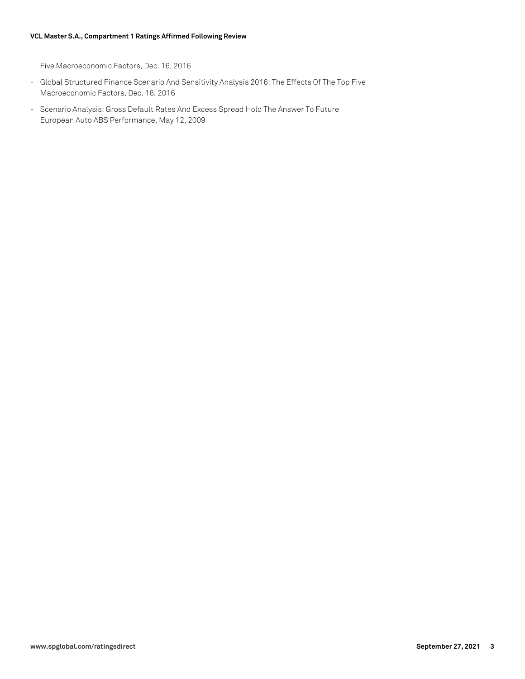#### **VCL Master S.A., Compartment 1 Ratings Affirmed Following Review**

Five Macroeconomic Factors, Dec. 16, 2016

- Global Structured Finance Scenario And Sensitivity Analysis 2016: The Effects Of The Top Five Macroeconomic Factors, Dec. 16, 2016
- Scenario Analysis: Gross Default Rates And Excess Spread Hold The Answer To Future European Auto ABS Performance, May 12, 2009